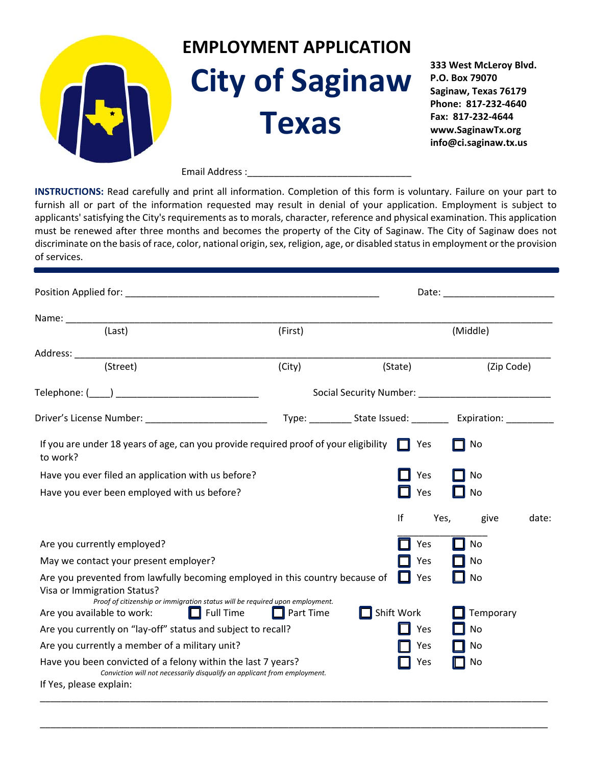

Email Address :

**INSTRUCTIONS:** Read carefully and print all information. Completion of this form is voluntary. Failure on your part to furnish all or part of the information requested may result in denial of your application. Employment is subject to applicants' satisfying the City's requirements as to morals, character, reference and physical examination. This application must be renewed after three months and becomes the property of the City of Saginaw. The City of Saginaw does not discriminate on the basis of race, color, national origin, sex, religion, age, or disabled status in employment or the provision of services.

| Position Applied for: New York Contract to the Contract of the Contract of the Contract of the Contract of the                                                      |                  |  |                                                                                  | Date: the contract of the contract of the contract of the contract of the contract of the contract of the contract of the contract of the contract of the contract of the contract of the contract of the contract of the cont |            |       |
|---------------------------------------------------------------------------------------------------------------------------------------------------------------------|------------------|--|----------------------------------------------------------------------------------|--------------------------------------------------------------------------------------------------------------------------------------------------------------------------------------------------------------------------------|------------|-------|
|                                                                                                                                                                     |                  |  |                                                                                  |                                                                                                                                                                                                                                |            |       |
| (Last)                                                                                                                                                              | (First)          |  |                                                                                  | (Middle)                                                                                                                                                                                                                       |            |       |
|                                                                                                                                                                     |                  |  |                                                                                  |                                                                                                                                                                                                                                |            |       |
| (Street)                                                                                                                                                            | (City)           |  | (State)                                                                          |                                                                                                                                                                                                                                | (Zip Code) |       |
|                                                                                                                                                                     |                  |  |                                                                                  |                                                                                                                                                                                                                                |            |       |
| Driver's License Number: _____________________________                                                                                                              |                  |  | Type: ______________ State Issued: _______________ Expiration: _________________ |                                                                                                                                                                                                                                |            |       |
| If you are under 18 years of age, can you provide required proof of your eligibility $\Box$ Yes<br>to work?                                                         |                  |  |                                                                                  | No                                                                                                                                                                                                                             |            |       |
| Have you ever filed an application with us before?                                                                                                                  |                  |  | Yes                                                                              | No                                                                                                                                                                                                                             |            |       |
| Have you ever been employed with us before?                                                                                                                         |                  |  | Yes                                                                              | No                                                                                                                                                                                                                             |            |       |
|                                                                                                                                                                     |                  |  | If                                                                               | Yes,                                                                                                                                                                                                                           | give       | date: |
| Are you currently employed?                                                                                                                                         |                  |  | Yes                                                                              | No                                                                                                                                                                                                                             |            |       |
| May we contact your present employer?                                                                                                                               |                  |  | Yes                                                                              | No                                                                                                                                                                                                                             |            |       |
| Are you prevented from lawfully becoming employed in this country because of<br>Yes<br>No<br>Visa or Immigration Status?                                            |                  |  |                                                                                  |                                                                                                                                                                                                                                |            |       |
| Proof of citizenship or immigration status will be required upon employment.<br>Are you available to work:<br>$\Box$ Full Time                                      | $\Box$ Part Time |  | Shift Work                                                                       |                                                                                                                                                                                                                                | Temporary  |       |
| Are you currently on "lay-off" status and subject to recall?                                                                                                        |                  |  | Yes                                                                              | No                                                                                                                                                                                                                             |            |       |
| Are you currently a member of a military unit?                                                                                                                      |                  |  | Yes                                                                              | No                                                                                                                                                                                                                             |            |       |
| Have you been convicted of a felony within the last 7 years?<br>Conviction will not necessarily disqualify an applicant from employment.<br>If Yes, please explain: |                  |  | Yes                                                                              | No                                                                                                                                                                                                                             |            |       |

\_\_\_\_\_\_\_\_\_\_\_\_\_\_\_\_\_\_\_\_\_\_\_\_\_\_\_\_\_\_\_\_\_\_\_\_\_\_\_\_\_\_\_\_\_\_\_\_\_\_\_\_\_\_\_\_\_\_\_\_\_\_\_\_\_\_\_\_\_\_\_\_\_\_\_\_\_\_\_\_\_\_\_\_\_\_\_\_\_\_\_\_\_\_\_\_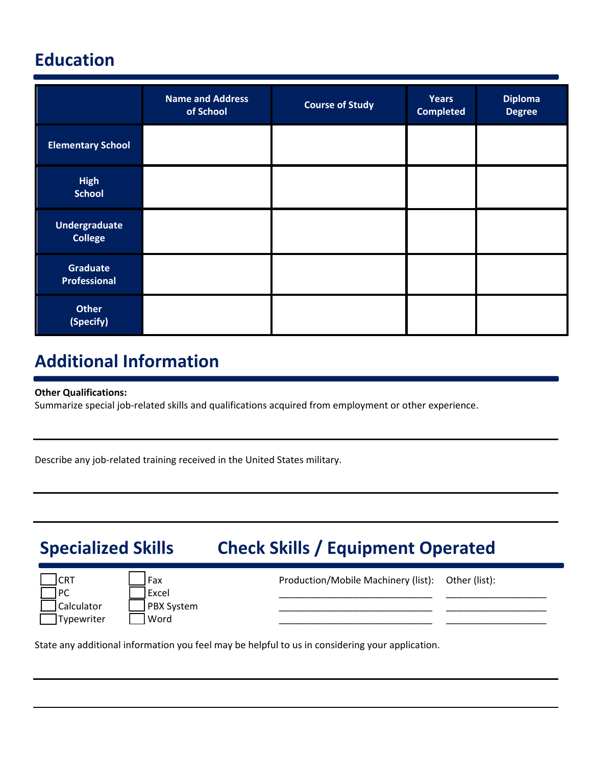## **Education**

|                                        | <b>Name and Address</b><br>of School | <b>Course of Study</b> | <b>Years</b><br><b>Completed</b> | <b>Diploma</b><br><b>Degree</b> |
|----------------------------------------|--------------------------------------|------------------------|----------------------------------|---------------------------------|
| <b>Elementary School</b>               |                                      |                        |                                  |                                 |
| <b>High</b><br><b>School</b>           |                                      |                        |                                  |                                 |
| <b>Undergraduate</b><br><b>College</b> |                                      |                        |                                  |                                 |
| <b>Graduate</b><br>Professional        |                                      |                        |                                  |                                 |
| <b>Other</b><br>(Specify)              |                                      |                        |                                  |                                 |

### **Additional Information**

### **Other Qualifications:**

Summarize special job-related skills and qualifications acquired from employment or other experience.

Describe any job-related training received in the United States military.

# **Specialized Skills Check Skills / Equipment Operated**

| <b>CRT</b> | ' Fax      | Production/Mobile Machinery (list): Other (list): |  |
|------------|------------|---------------------------------------------------|--|
| PC         | Excel      |                                                   |  |
| Calculator | PBX System |                                                   |  |
| Typewriter | Word       |                                                   |  |
|            |            |                                                   |  |

State any additional information you feel may be helpful to us in considering your application.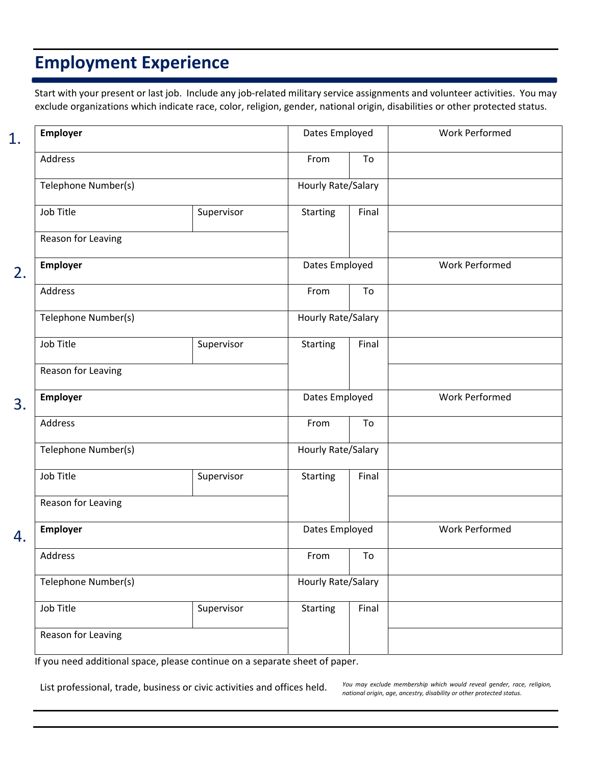### **Employment Experience**

Start with your present or last job. Include any job-related military service assignments and volunteer activities. You may exclude organizations which indicate race, color, religion, gender, national origin, disabilities or other protected status.

| 1. | <b>Employer</b>     |            | Dates Employed     |       | <b>Work Performed</b> |
|----|---------------------|------------|--------------------|-------|-----------------------|
|    | Address             |            | From               | To    |                       |
|    | Telephone Number(s) |            | Hourly Rate/Salary |       |                       |
|    | Job Title           | Supervisor | <b>Starting</b>    | Final |                       |
|    | Reason for Leaving  |            |                    |       |                       |
| 2. | <b>Employer</b>     |            | Dates Employed     |       | <b>Work Performed</b> |
|    | Address             |            | From               | To    |                       |
|    | Telephone Number(s) |            | Hourly Rate/Salary |       |                       |
|    | Job Title           | Supervisor | <b>Starting</b>    | Final |                       |
|    | Reason for Leaving  |            |                    |       |                       |
| 3. | <b>Employer</b>     |            | Dates Employed     |       | <b>Work Performed</b> |
|    | Address             |            | From               | To    |                       |
|    | Telephone Number(s) |            | Hourly Rate/Salary |       |                       |
|    | Job Title           | Supervisor | <b>Starting</b>    | Final |                       |
|    | Reason for Leaving  |            |                    |       |                       |
| 4. | Employer            |            | Dates Employed     |       | <b>Work Performed</b> |
|    | Address             |            | From               | To    |                       |
|    | Telephone Number(s) |            | Hourly Rate/Salary |       |                       |
|    | Job Title           | Supervisor | <b>Starting</b>    | Final |                       |
|    | Reason for Leaving  |            |                    |       |                       |
|    |                     |            |                    |       |                       |

If you need additional space, please continue on a separate sheet of paper.

List professional, trade, business or civic activities and offices held. *You may exclude membership which would reveal gender, race, religion,*

*national origin, age, ancestry, disability or other protected status.*